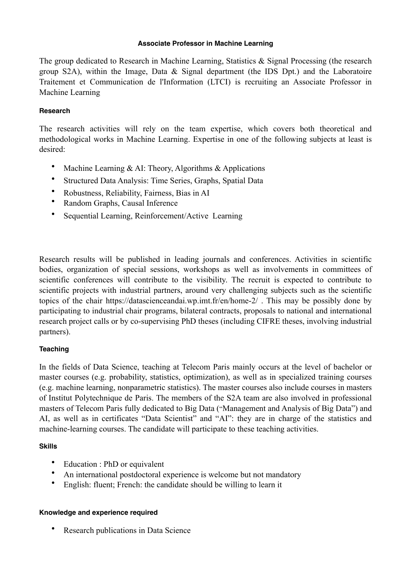#### **Associate Professor in Machine Learning**

The group dedicated to Research in Machine Learning, Statistics & Signal Processing (the research group S2A), within the Image, Data & Signal department (the IDS Dpt.) and the Laboratoire Traitement et Communication de l'Information (LTCI) is recruiting an Associate Professor in Machine Learning

## **Research**

The research activities will rely on the team expertise, which covers both theoretical and methodological works in Machine Learning. Expertise in one of the following subjects at least is desired:

- Machine Learning & AI: Theory, Algorithms & Applications
- Structured Data Analysis: Time Series, Graphs, Spatial Data
- Robustness, Reliability, Fairness, Bias in AI
- Random Graphs, Causal Inference
- Sequential Learning, Reinforcement/Active Learning

Research results will be published in leading journals and conferences. Activities in scientific bodies, organization of special sessions, workshops as well as involvements in committees of scientific conferences will contribute to the visibility. The recruit is expected to contribute to scientific projects with industrial partners, around very challenging subjects such as the scientific topics of the chair <https://datascienceandai.wp.imt.fr/en/home-2/> . This may be possibly done by participating to industrial chair programs, bilateral contracts, proposals to national and international research project calls or by co-supervising PhD theses (including CIFRE theses, involving industrial partners).

# **Teaching**

In the fields of Data Science, teaching at Telecom Paris mainly occurs at the level of bachelor or master courses (e.g. probability, statistics, optimization), as well as in specialized training courses (e.g. machine learning, nonparametric statistics). The master courses also include courses in masters of Institut Polytechnique de Paris. The members of the S2A team are also involved in professional masters of Telecom Paris fully dedicated to Big Data ("Management and Analysis of Big Data") and AI, as well as in certificates "Data Scientist" and "AI": they are in charge of the statistics and machine-learning courses. The candidate will participate to these teaching activities.

# **Skills**

- Education : PhD or equivalent
- An international postdoctoral experience is welcome but not mandatory
- English: fluent; French: the candidate should be willing to learn it

## **Knowledge and experience required**

**Research publications in Data Science**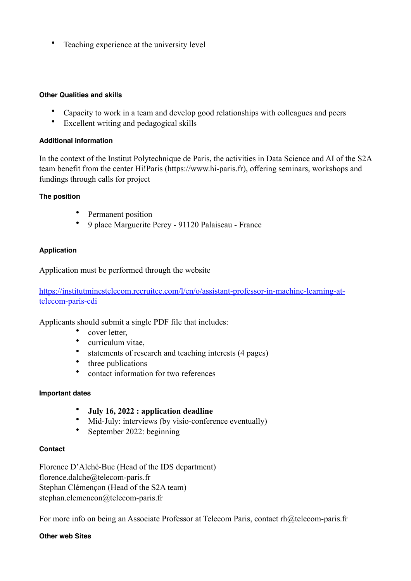• Teaching experience at the university level

#### **Other Qualities and skills**

- Capacity to work in a team and develop good relationships with colleagues and peers
- Excellent writing and pedagogical skills

## **Additional information**

In the context of the Institut Polytechnique de Paris, the activities in Data Science and AI of the S2A team benefit from the center Hi!Paris ([https://www.hi-paris.fr\)](https://www.hi-paris.fr), offering seminars, workshops and fundings through calls for project

## **The position**

- Permanent position
- 9 place Marguerite Perey 91120 Palaiseau France

## **Application**

Application must be performed through the website

[https://institutminestelecom.recruitee.com/l/en/o/assistant-professor-in-machine-learning-at](https://institutminestelecom.recruitee.com/l/en/o/assistant-professor-in-machine-learning-at-telecom-paris-cdi)[telecom-paris-cdi](https://institutminestelecom.recruitee.com/l/en/o/assistant-professor-in-machine-learning-at-telecom-paris-cdi)

Applicants should submit a single PDF file that includes:

- cover letter,
- curriculum vitae,
- statements of research and teaching interests (4 pages)
- three publications
- contact information for two references

## **Important dates**

- **July 16, 2022 : application deadline**
- Mid-July: interviews (by visio-conference eventually)
- September 2022: beginning

#### **Contact**

Florence D'Alché-Buc (Head of the IDS department) florence.dalche@telecom-paris.fr Stephan Clémençon (Head of the S2A team) stephan.clemencon@telecom-paris.fr

For more info on being an Associate Professor at Telecom Paris, contact [rh@telecom-paris.fr](mailto:rh@telecom-paris.fr)

#### **Other web Sites**